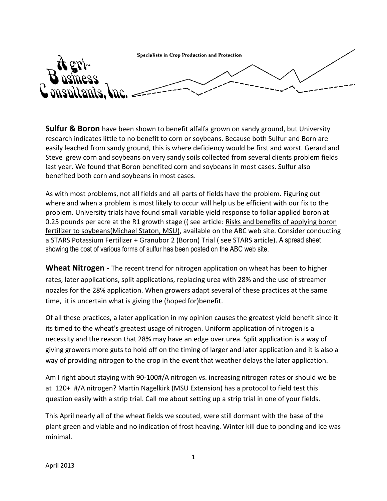Specialists in Crop Production and Protection

**Sulfur & Boron** have been shown to benefit alfalfa grown on sandy ground, but University research indicates little to no benefit to corn or soybeans. Because both Sulfur and Born are easily leached from sandy ground, this is where deficiency would be first and worst. Gerard and Steve grew corn and soybeans on very sandy soils collected from several clients problem fields last year. We found that Boron benefited corn and soybeans in most cases. Sulfur also benefited both corn and soybeans in most cases.

As with most problems, not all fields and all parts of fields have the problem. Figuring out where and when a problem is most likely to occur will help us be efficient with our fix to the problem. University trials have found small variable yield response to foliar applied boron at 0.25 pounds per acre at the R1 growth stage (( see article: Risks and benefits of applying boron fertilizer to soybeans(Michael Staton, MSU), available on the ABC web site. Consider conducting a STARS Potassium Fertilizer + Granubor 2 (Boron) Trial ( see STARS article). A spread sheet showing the cost of various forms of sulfur has been posted on the ABC web site.

**Wheat Nitrogen -** The recent trend for nitrogen application on wheat has been to higher rates, later applications, split applications, replacing urea with 28% and the use of streamer nozzles for the 28% application. When growers adapt several of these practices at the same time, it is uncertain what is giving the (hoped for)benefit.

Of all these practices, a later application in my opinion causes the greatest yield benefit since it its timed to the wheat's greatest usage of nitrogen. Uniform application of nitrogen is a necessity and the reason that 28% may have an edge over urea. Split application is a way of giving growers more guts to hold off on the timing of larger and later application and it is also a way of providing nitrogen to the crop in the event that weather delays the later application.

Am I right about staying with 90-100#/A nitrogen vs. increasing nitrogen rates or should we be at 120+ #/A nitrogen? Martin Nagelkirk (MSU Extension) has a protocol to field test this question easily with a strip trial. Call me about setting up a strip trial in one of your fields.

This April nearly all of the wheat fields we scouted, were still dormant with the base of the plant green and viable and no indication of frost heaving. Winter kill due to ponding and ice was minimal.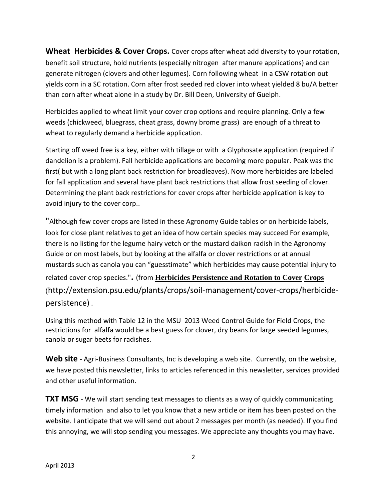**Wheat Herbicides & Cover Crops.** Cover crops after wheat add diversity to your rotation, benefit soil structure, hold nutrients (especially nitrogen after manure applications) and can generate nitrogen (clovers and other legumes). Corn following wheat in a CSW rotation out yields corn in a SC rotation. Corn after frost seeded red clover into wheat yielded 8 bu/A better than corn after wheat alone in a study by Dr. Bill Deen, University of Guelph.

Herbicides applied to wheat limit your cover crop options and require planning. Only a few weeds (chickweed, bluegrass, cheat grass, downy brome grass) are enough of a threat to wheat to regularly demand a herbicide application.

Starting off weed free is a key, either with tillage or with a Glyphosate application (required if dandelion is a problem). Fall herbicide applications are becoming more popular. Peak was the first( but with a long plant back restriction for broadleaves). Now more herbicides are labeled for fall application and several have plant back restrictions that allow frost seeding of clover. Determining the plant back restrictions for cover crops after herbicide application is key to avoid injury to the cover corp..

**"**Although few cover crops are listed in these Agronomy Guide tables or on herbicide labels, look for close plant relatives to get an idea of how certain species may succeed For example, there is no listing for the legume hairy vetch or the mustard daikon radish in the Agronomy Guide or on most labels, but by looking at the alfalfa or clover restrictions or at annual mustards such as canola you can "guesstimate" which herbicides may cause potential injury to related cover crop species."**.** (from **Herbicides Persistence and Rotation to Cover Crops** (http://extension.psu.edu/plants/crops/soil-management/cover-crops/herbicidepersistence) .

Using this method with Table 12 in the MSU 2013 Weed Control Guide for Field Crops, the restrictions for alfalfa would be a best guess for clover, dry beans for large seeded legumes, canola or sugar beets for radishes.

**Web site** - Agri-Business Consultants, Inc is developing a web site. Currently, on the website, we have posted this newsletter, links to articles referenced in this newsletter, services provided and other useful information.

**TXT MSG** - We will start sending text messages to clients as a way of quickly communicating timely information and also to let you know that a new article or item has been posted on the website. I anticipate that we will send out about 2 messages per month (as needed). If you find this annoying, we will stop sending you messages. We appreciate any thoughts you may have.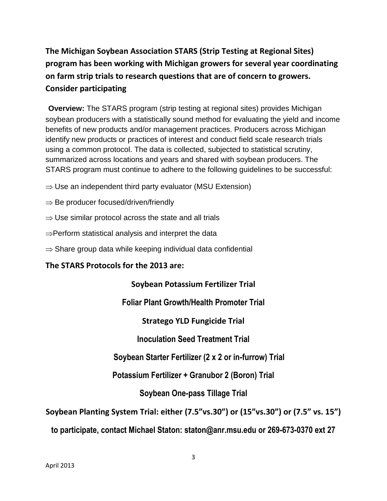# **The Michigan Soybean Association STARS (Strip Testing at Regional Sites) program has been working with Michigan growers for several year coordinating on farm strip trials to research questions that are of concern to growers. Consider participating**

**Overview:** The STARS program (strip testing at regional sites) provides Michigan soybean producers with a statistically sound method for evaluating the yield and income benefits of new products and/or management practices. Producers across Michigan identify new products or practices of interest and conduct field scale research trials using a common protocol. The data is collected, subjected to statistical scrutiny, summarized across locations and years and shared with soybean producers. The STARS program must continue to adhere to the following guidelines to be successful:

- $\Rightarrow$  Use an independent third party evaluator (MSU Extension)
- $\Rightarrow$  Be producer focused/driven/friendly
- $\Rightarrow$  Use similar protocol across the state and all trials
- $\Rightarrow$  Perform statistical analysis and interpret the data
- $\Rightarrow$  Share group data while keeping individual data confidential

## **The STARS Protocols for the 2013 are:**

## **Soybean Potassium Fertilizer Trial**

**Foliar Plant Growth/Health Promoter Trial** 

**Stratego YLD Fungicide Trial** 

**Inoculation Seed Treatment Trial** 

**Soybean Starter Fertilizer (2 x 2 or in-furrow) Trial**

**Potassium Fertilizer + Granubor 2 (Boron) Trial**

## **Soybean One-pass Tillage Trial**

**Soybean Planting System Trial: either (7.5"vs.30") or (15"vs.30") or (7.5" vs. 15")**

**to participate, contact Michael Staton: staton@anr.msu.edu or 269-673-0370 ext 27**